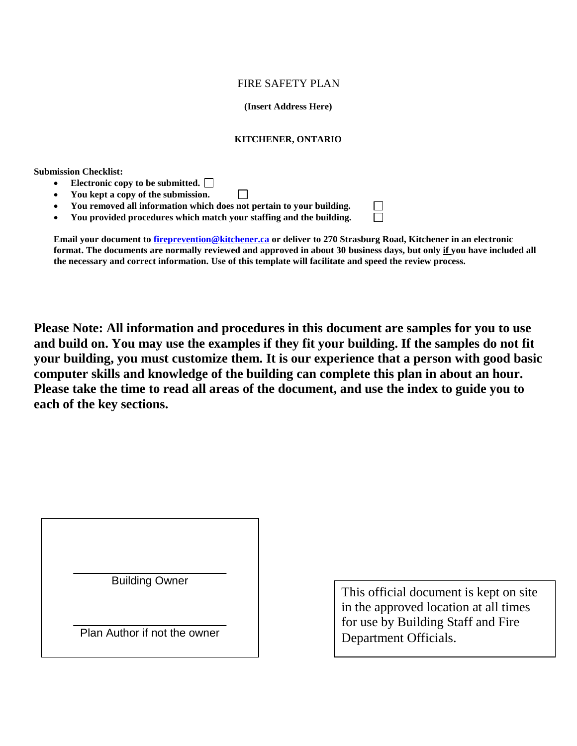## FIRE SAFETY PLAN

 **(Insert Address Here)** 

### **KITCHENER, ONTARIO**

**Submission Checklist:** 

- **Electronic copy to be submitted.**
- **You kept a copy of the submission.**  П
- **You removed all information which does not pertain to your building.**
- **You provided procedures which match your staffing and the building.**

 **Email your document to [fireprevention@kitchener.ca](mailto:fireprevention@kitchener.ca) or deliver to 270 Strasburg Road, Kitchener in an electronic format. The documents are normally reviewed and approved in about 30 business days, but only if you have included all the necessary and correct information. Use of this template will facilitate and speed the review process.** 

П

 **your building, you must customize them. It is our experience that a person with good basic Please take the time to read all areas of the document, and use the index to guide you to Please Note: All information and procedures in this document are samples for you to use and build on. You may use the examples if they fit your building. If the samples do not fit computer skills and knowledge of the building can complete this plan in about an hour. each of the key sections.** 

Building Owner

Plan Author if not the owner

 This official document is kept on site in the approved location at all times for use by Building Staff and Fire Department Officials.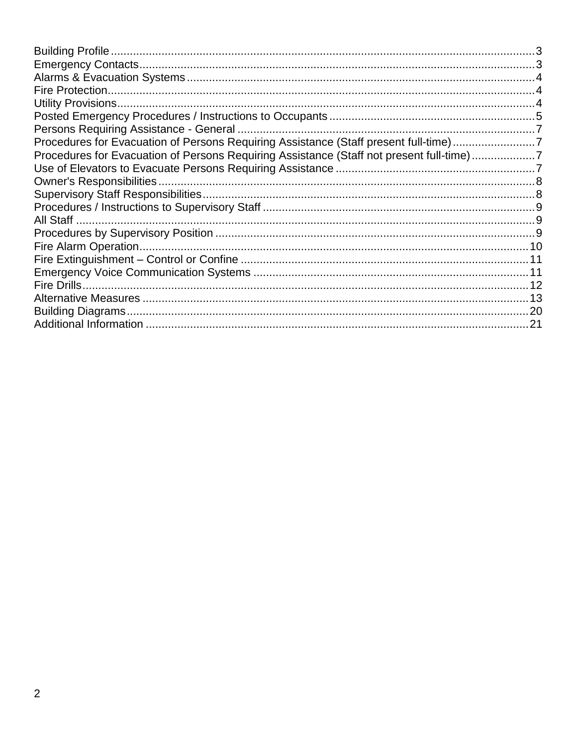| Procedures for Evacuation of Persons Requiring Assistance (Staff present full-time)7     |  |
|------------------------------------------------------------------------------------------|--|
| Procedures for Evacuation of Persons Requiring Assistance (Staff not present full-time)7 |  |
|                                                                                          |  |
|                                                                                          |  |
|                                                                                          |  |
|                                                                                          |  |
|                                                                                          |  |
|                                                                                          |  |
|                                                                                          |  |
|                                                                                          |  |
|                                                                                          |  |
|                                                                                          |  |
|                                                                                          |  |
|                                                                                          |  |
|                                                                                          |  |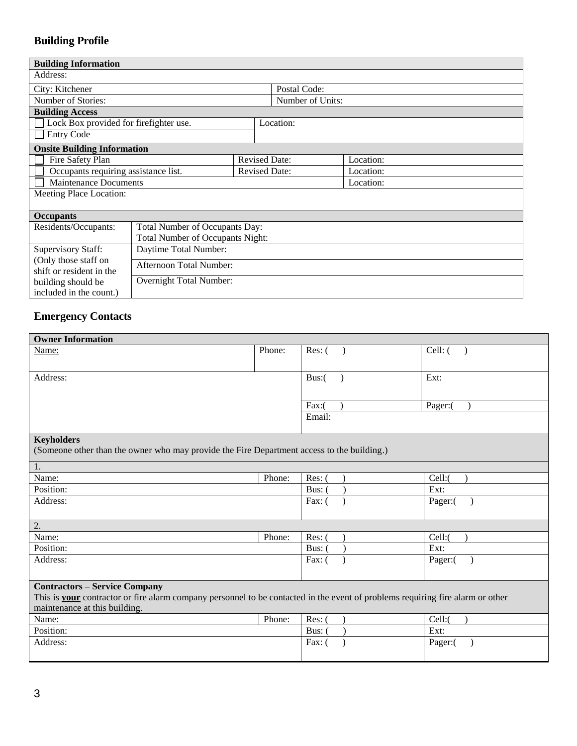## <span id="page-2-0"></span> **Building Profile**

| <b>Building Information</b>                      |                                         |                      |  |                  |           |
|--------------------------------------------------|-----------------------------------------|----------------------|--|------------------|-----------|
| Address:                                         |                                         |                      |  |                  |           |
| City: Kitchener                                  |                                         |                      |  | Postal Code:     |           |
| Number of Stories:                               |                                         |                      |  | Number of Units: |           |
| <b>Building Access</b>                           |                                         |                      |  |                  |           |
| Lock Box provided for firefighter use.           |                                         |                      |  | Location:        |           |
| <b>Entry Code</b>                                |                                         |                      |  |                  |           |
| <b>Onsite Building Information</b>               |                                         |                      |  |                  |           |
| Fire Safety Plan                                 |                                         | <b>Revised Date:</b> |  |                  | Location: |
| Occupants requiring assistance list.             |                                         | <b>Revised Date:</b> |  |                  | Location: |
| <b>Maintenance Documents</b>                     |                                         |                      |  | Location:        |           |
| Meeting Place Location:                          |                                         |                      |  |                  |           |
|                                                  |                                         |                      |  |                  |           |
| <b>Occupants</b>                                 |                                         |                      |  |                  |           |
| Residents/Occupants:                             | Total Number of Occupants Day:          |                      |  |                  |           |
|                                                  | <b>Total Number of Occupants Night:</b> |                      |  |                  |           |
| <b>Supervisory Staff:</b>                        | Daytime Total Number:                   |                      |  |                  |           |
| (Only those staff on<br>shift or resident in the | <b>Afternoon Total Number:</b>          |                      |  |                  |           |
| Overnight Total Number:<br>building should be    |                                         |                      |  |                  |           |
| included in the count.)                          |                                         |                      |  |                  |           |

## <span id="page-2-1"></span> **Emergency Contacts**

| <b>Owner Information</b>                                                                                                              |        |          |  |         |  |
|---------------------------------------------------------------------------------------------------------------------------------------|--------|----------|--|---------|--|
| Name:                                                                                                                                 | Phone: | Res: (   |  | Cell: ( |  |
|                                                                                                                                       |        |          |  |         |  |
| Address:                                                                                                                              |        | $Bus:$ ( |  | Ext:    |  |
|                                                                                                                                       |        |          |  |         |  |
|                                                                                                                                       |        | $Fax:$ ( |  | Pager:( |  |
|                                                                                                                                       |        | Email:   |  |         |  |
|                                                                                                                                       |        |          |  |         |  |
| <b>Keyholders</b>                                                                                                                     |        |          |  |         |  |
| (Someone other than the owner who may provide the Fire Department access to the building.)                                            |        |          |  |         |  |
| 1.                                                                                                                                    |        |          |  |         |  |
| Name:                                                                                                                                 | Phone: | Res: (   |  | Cell:(  |  |
| Position:                                                                                                                             |        | Bus: 0   |  | Ext:    |  |
| Address:                                                                                                                              |        | Fax: $($ |  | Pager:( |  |
|                                                                                                                                       |        |          |  |         |  |
| 2.                                                                                                                                    |        |          |  |         |  |
| Name:                                                                                                                                 | Phone: | Res: (   |  | Cell:(  |  |
| Position:                                                                                                                             |        | Bus: 0   |  | Ext:    |  |
| Address:                                                                                                                              |        | Fax: $($ |  | Pager:( |  |
|                                                                                                                                       |        |          |  |         |  |
| <b>Contractors - Service Company</b>                                                                                                  |        |          |  |         |  |
| This is <b>your</b> contractor or fire alarm company personnel to be contacted in the event of problems requiring fire alarm or other |        |          |  |         |  |
| maintenance at this building.                                                                                                         |        |          |  |         |  |
| Name:                                                                                                                                 | Phone: | $Res:$ ( |  | Cell:(  |  |
| Position:                                                                                                                             |        | Bus: 0   |  | Ext:    |  |
| Address:                                                                                                                              |        | Fax: $($ |  | Pager:( |  |
|                                                                                                                                       |        |          |  |         |  |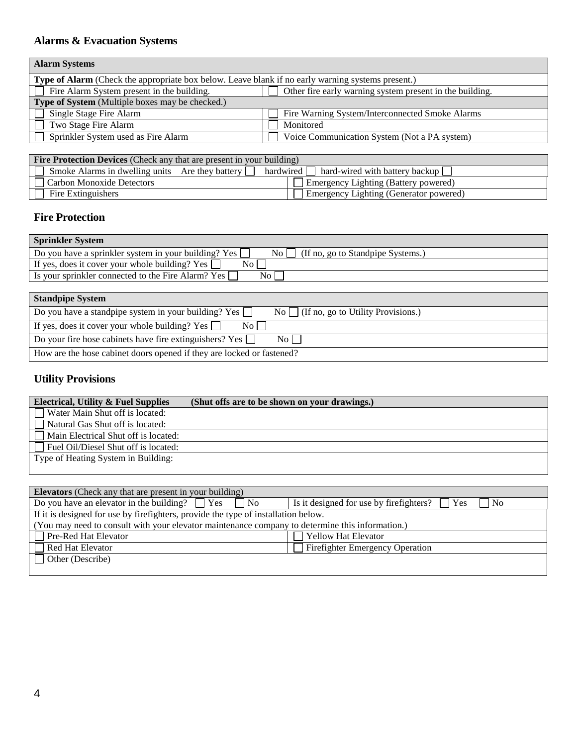## <span id="page-3-0"></span> **Alarms & Evacuation Systems**

| <b>Alarm Systems</b>                                                                              |                                                          |  |  |  |  |
|---------------------------------------------------------------------------------------------------|----------------------------------------------------------|--|--|--|--|
| Type of Alarm (Check the appropriate box below. Leave blank if no early warning systems present.) |                                                          |  |  |  |  |
| $\Box$ Fire Alarm System present in the building.                                                 | Other fire early warning system present in the building. |  |  |  |  |
| Type of System (Multiple boxes may be checked.)                                                   |                                                          |  |  |  |  |
| Single Stage Fire Alarm                                                                           | Fire Warning System/Interconnected Smoke Alarms          |  |  |  |  |
| Two Stage Fire Alarm                                                                              | Monitored                                                |  |  |  |  |
| Sprinkler System used as Fire Alarm                                                               | Voice Communication System (Not a PA system)             |  |  |  |  |
|                                                                                                   |                                                          |  |  |  |  |

| <b>Fire Protection Devices</b> (Check any that are present in your building) |                                          |  |  |  |
|------------------------------------------------------------------------------|------------------------------------------|--|--|--|
| Smoke Alarms in dwelling units Are they battery $\Box$                       | hardwired hard-wired with battery backup |  |  |  |
| Carbon Monoxide Detectors                                                    | Emergency Lighting (Battery powered)     |  |  |  |
| Fire Extinguishers                                                           | Emergency Lighting (Generator powered)   |  |  |  |

## <span id="page-3-1"></span> **Fire Protection**

| <b>Sprinkler System</b>                                                                                  |
|----------------------------------------------------------------------------------------------------------|
| Do you have a sprinkler system in your building? Yes $\Box$<br>(If no, go to Standpipe Systems.)<br>No l |
| N <sub>0</sub><br>If yes, does it cover your whole building? Yes $\Box$                                  |
| Is your sprinkler connected to the Fire Alarm? Yes<br>No l                                               |
|                                                                                                          |

| <b>Standpipe System</b>                                                                                                |
|------------------------------------------------------------------------------------------------------------------------|
| Do you have a standpipe system in your building? Yes $\Box$<br>$\mathbb{N}^{\circ}$ (If no, go to Utility Provisions.) |
| If yes, does it cover your whole building? Yes $\Box$<br>$\overline{N_0}$                                              |
| Do your fire hose cabinets have fire extinguishers? Yes $\Box$<br>No L                                                 |
| How are the hose cabinet doors opened if they are locked or fastened?                                                  |

## <span id="page-3-2"></span> **Utility Provisions**

| <b>Electrical, Utility &amp; Fuel Supplies</b> | (Shut offs are to be shown on your drawings.) |
|------------------------------------------------|-----------------------------------------------|
| $\Box$ Water Main Shut off is located:         |                                               |
| Natural Gas Shut off is located:               |                                               |
| Main Electrical Shut off is located:           |                                               |
| $\Box$ Fuel Oil/Diesel Shut off is located:    |                                               |
| Type of Heating System in Building:            |                                               |
|                                                |                                               |

| <b>Elevators</b> (Check any that are present in your building)                                  |                                                       |  |  |  |  |
|-------------------------------------------------------------------------------------------------|-------------------------------------------------------|--|--|--|--|
| Do you have an elevator in the building? $\Box$ Yes $\Box$ No                                   | Is it designed for use by firefighters?<br>Yes<br>No. |  |  |  |  |
| If it is designed for use by firefighters, provide the type of installation below.              |                                                       |  |  |  |  |
| (You may need to consult with your elevator maintenance company to determine this information.) |                                                       |  |  |  |  |
| Pre-Red Hat Elevator                                                                            | Yellow Hat Elevator                                   |  |  |  |  |
| Red Hat Elevator                                                                                | <b>Firefighter Emergency Operation</b>                |  |  |  |  |
| Other (Describe)                                                                                |                                                       |  |  |  |  |
|                                                                                                 |                                                       |  |  |  |  |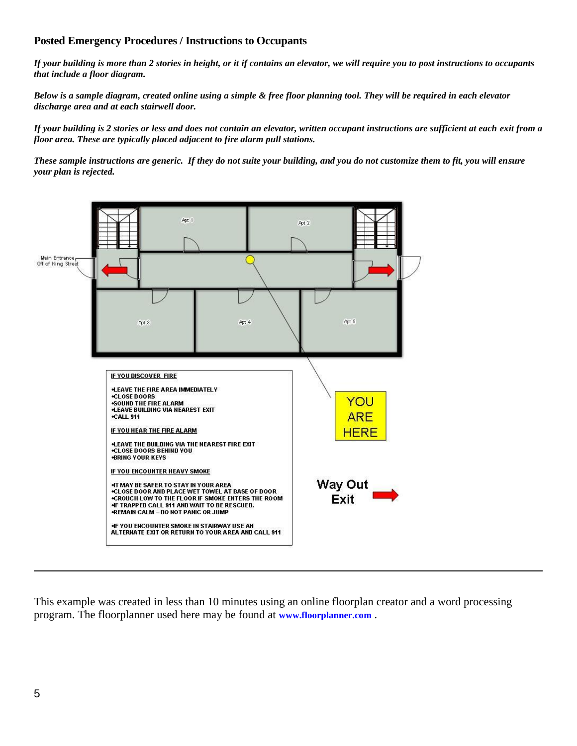## <span id="page-4-0"></span> **Posted Emergency Procedures / Instructions to Occupants**

 *If your building is more than 2 stories in height, or it if contains an elevator, we will require you to post instructions to occupants that include a floor diagram.* 

 *Below is a sample diagram, created online using a simple & free floor planning tool. They will be required in each elevator discharge area and at each stairwell door.* 

 *If your building is 2 stories or less and does not contain an elevator, written occupant instructions are sufficient at each exit from a floor area. These are typically placed adjacent to fire alarm pull stations.* 

 *These sample instructions are generic. If they do not suite your building, and you do not customize them to fit, you will ensure your plan is rejected.* 



This example was created in less than 10 minutes using an online floorplan creator and a word processing program. The floorplanner used here may be found at **[www.floorplanner.com](http://www.floorplanner.com/)** .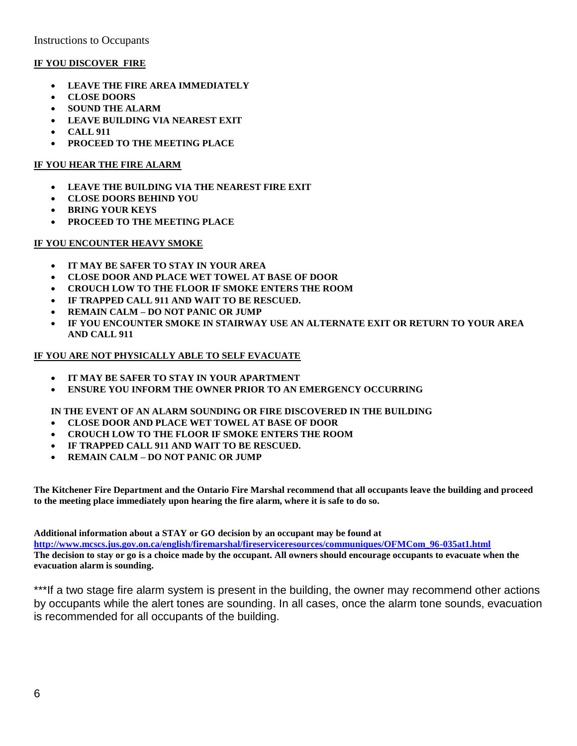Instructions to Occupants

#### **IF YOU DISCOVER FIRE**

- **LEAVE THE FIRE AREA IMMEDIATELY**
- **CLOSE DOORS**
- **SOUND THE ALARM**
- **LEAVE BUILDING VIA NEAREST EXIT**
- **CALL 911**
- **PROCEED TO THE MEETING PLACE**

#### **IF YOU HEAR THE FIRE ALARM**

- **LEAVE THE BUILDING VIA THE NEAREST FIRE EXIT**
- **CLOSE DOORS BEHIND YOU**
- **BRING YOUR KEYS**
- **PROCEED TO THE MEETING PLACE**

#### **IF YOU ENCOUNTER HEAVY SMOKE**

- **IT MAY BE SAFER TO STAY IN YOUR AREA**
- **CLOSE DOOR AND PLACE WET TOWEL AT BASE OF DOOR**
- **CROUCH LOW TO THE FLOOR IF SMOKE ENTERS THE ROOM**
- **IF TRAPPED CALL 911 AND WAIT TO BE RESCUED.**
- **REMAIN CALM – DO NOT PANIC OR JUMP**
- **IF YOU ENCOUNTER SMOKE IN STAIRWAY USE AN ALTERNATE EXIT OR RETURN TO YOUR AREA AND CALL 911**

#### **IF YOU ARE NOT PHYSICALLY ABLE TO SELF EVACUATE**

- **IT MAY BE SAFER TO STAY IN YOUR APARTMENT**
- **ENSURE YOU INFORM THE OWNER PRIOR TO AN EMERGENCY OCCURRING**

#### **IN THE EVENT OF AN ALARM SOUNDING OR FIRE DISCOVERED IN THE BUILDING**

- **CLOSE DOOR AND PLACE WET TOWEL AT BASE OF DOOR**
- **CROUCH LOW TO THE FLOOR IF SMOKE ENTERS THE ROOM**
- **IF TRAPPED CALL 911 AND WAIT TO BE RESCUED.**
- **REMAIN CALM – DO NOT PANIC OR JUMP**

 **The Kitchener Fire Department and the Ontario Fire Marshal recommend that all occupants leave the building and proceed to the meeting place immediately upon hearing the fire alarm, where it is safe to do so.** 

 **Additional information about a STAY or GO decision by an occupant may be found at** 

http://www.mcscs.jus.gov.on.ca/english/firemarshal/fireserviceresources/communiques/OFMCom\_96-035at1.html <u>http://www.mcscs.jus.gov.on.ca/english/firemarshal/fireserviceresources/communiques/OFMCom\_96-035at1.html</u><br>The decision to stay or go is a choice made by the occupant. All owners should encourage occupants to evacuate whe  **evacuation alarm is sounding.** 

\*\*\*If a two stage fire alarm system is present in the building, the owner may recommend other actions by occupants while the alert tones are sounding. In all cases, once the alarm tone sounds, evacuation is recommended for all occupants of the building.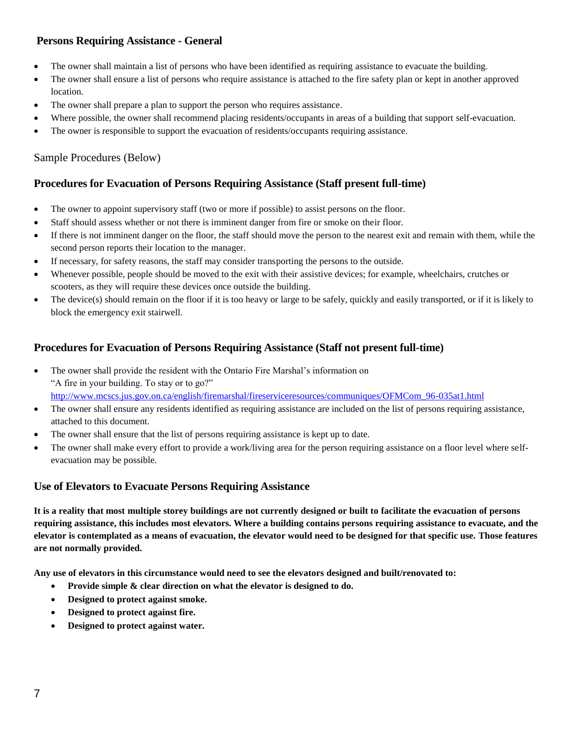## <span id="page-6-0"></span> **Persons Requiring Assistance - General**

- The owner shall maintain a list of persons who have been identified as requiring assistance to evacuate the building.
- The owner shall ensure a list of persons who require assistance is attached to the fire safety plan or kept in another approved location.
- The owner shall prepare a plan to support the person who requires assistance.
- Where possible, the owner shall recommend placing residents/occupants in areas of a building that support self-evacuation.
- The owner is responsible to support the evacuation of residents/occupants requiring assistance.

## Sample Procedures (Below)

## <span id="page-6-1"></span> **Procedures for Evacuation of Persons Requiring Assistance (Staff present full-time)**

- The owner to appoint supervisory staff (two or more if possible) to assist persons on the floor.
- Staff should assess whether or not there is imminent danger from fire or smoke on their floor.
- If there is not imminent danger on the floor, the staff should move the person to the nearest exit and remain with them, while the second person reports their location to the manager.
- If necessary, for safety reasons, the staff may consider transporting the persons to the outside.
- Whenever possible, people should be moved to the exit with their assistive devices; for example, wheelchairs, crutches or scooters, as they will require these devices once outside the building.
- The device(s) should remain on the floor if it is too heavy or large to be safely, quickly and easily transported, or if it is likely to block the emergency exit stairwell.

## <span id="page-6-2"></span> **Procedures for Evacuation of Persons Requiring Assistance (Staff not present full-time)**

- The owner shall provide the resident with the Ontario Fire Marshal's information on "A fire in your building. To stay or to go?" [http://www.mcscs.jus.gov.on.ca/english/firemarshal/fireserviceresources/communiques/OFMCom\\_96-035at1.html](http://www.mcscs.jus.gov.on.ca/english/firemarshal/fireserviceresources/communiques/OFMCom_96-035at1.html)
- The owner shall ensure any residents identified as requiring assistance are included on the list of persons requiring assistance, attached to this document.
- The owner shall ensure that the list of persons requiring assistance is kept up to date.
- The owner shall make every effort to provide a work/living area for the person requiring assistance on a floor level where self-evacuation may be possible.

## <span id="page-6-3"></span> **Use of Elevators to Evacuate Persons Requiring Assistance**

 **It is a reality that most multiple storey buildings are not currently designed or built to facilitate the evacuation of persons requiring assistance, this includes most elevators. Where a building contains persons requiring assistance to evacuate, and the elevator is contemplated as a means of evacuation, the elevator would need to be designed for that specific use. Those features are not normally provided.** 

 **Any use of elevators in this circumstance would need to see the elevators designed and built/renovated to:** 

- **•** Provide simple & clear direction on what the elevator is designed to do.
- **Designed to protect against smoke.**
- **Designed to protect against fire.**
- **Designed to protect against water.**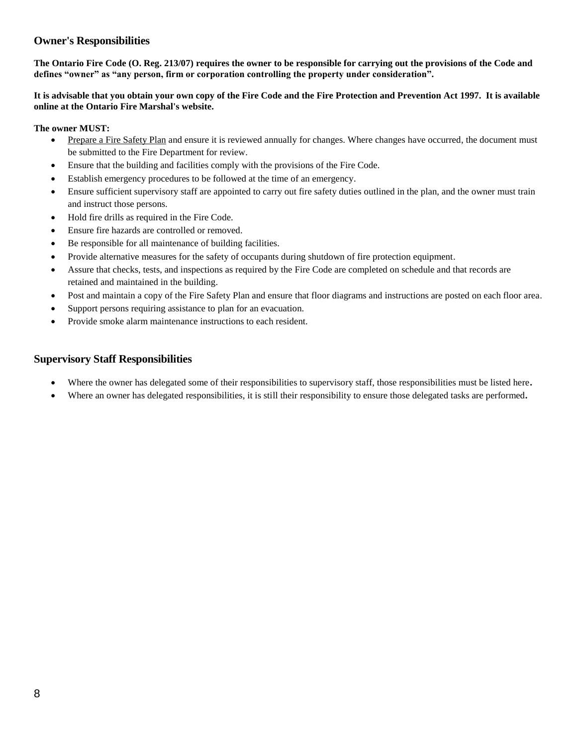## <span id="page-7-0"></span>**Owner's Responsibilities**

 **The Ontario Fire Code (O. Reg. 213/07) requires the owner to be responsible for carrying out the provisions of the Code and defines "owner" as "any person, firm or corporation controlling the property under consideration".**

 **It is advisable that you obtain your own copy of the Fire Code and the Fire Protection and Prevention Act 1997. It is available online at the Ontario Fire Marshal's website.** 

#### **The owner MUST:**

- Prepare a Fire Safety Plan and ensure it is reviewed annually for changes. Where changes have occurred, the document must be submitted to the Fire Department for review.
- Ensure that the building and facilities comply with the provisions of the Fire Code.
- Establish emergency procedures to be followed at the time of an emergency.
- Ensure sufficient supervisory staff are appointed to carry out fire safety duties outlined in the plan, and the owner must train and instruct those persons.
- Hold fire drills as required in the Fire Code.
- Ensure fire hazards are controlled or removed.
- Be responsible for all maintenance of building facilities.
- Provide alternative measures for the safety of occupants during shutdown of fire protection equipment.
- Assure that checks, tests, and inspections as required by the Fire Code are completed on schedule and that records are retained and maintained in the building.
- Post and maintain a copy of the Fire Safety Plan and ensure that floor diagrams and instructions are posted on each floor area.
- Support persons requiring assistance to plan for an evacuation.
- Provide smoke alarm maintenance instructions to each resident.

## <span id="page-7-1"></span>**Supervisory Staff Responsibilities**

- Where the owner has delegated some of their responsibilities to supervisory staff, those responsibilities must be listed here**.**
- Where an owner has delegated responsibilities, it is still their responsibility to ensure those delegated tasks are performed**.**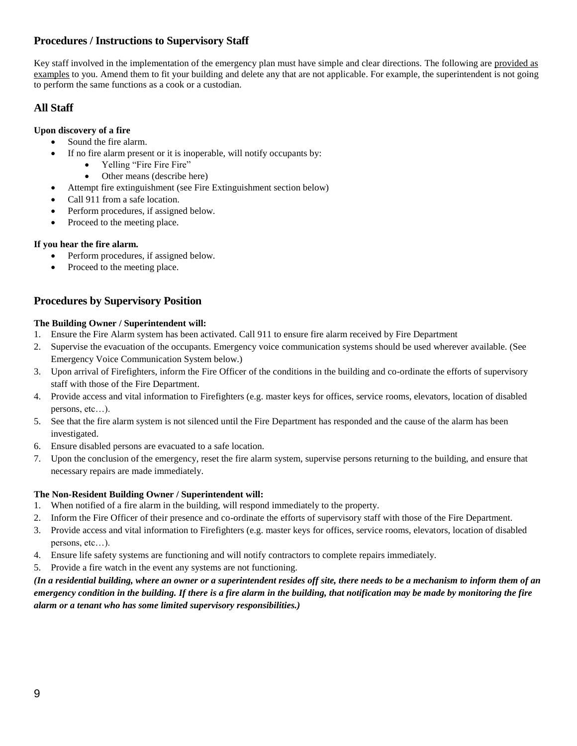## <span id="page-8-0"></span> **Procedures / Instructions to Supervisory Staff**

Key staff involved in the implementation of the emergency plan must have simple and clear directions. The following are provided as examples to you. Amend them to fit your building and delete any that are not applicable. For example, the superintendent is not going to perform the same functions as a cook or a custodian.

## <span id="page-8-1"></span> **All Staff**

### **Upon discovery of a fire**

- Sound the fire alarm.
- If no fire alarm present or it is inoperable, will notify occupants by:
	- Yelling "Fire Fire Fire"
	- Other means (describe here)
- Attempt fire extinguishment (see Fire Extinguishment section below)
- Call 911 from a safe location.
- Perform procedures, if assigned below.
- Proceed to the meeting place.

## **If you hear the fire alarm.**

- Perform procedures, if assigned below.
- Proceed to the meeting place.

## <span id="page-8-2"></span> **Procedures by Supervisory Position**

#### **The Building Owner / Superintendent will:**

- 1. Ensure the Fire Alarm system has been activated. Call 911 to ensure fire alarm received by Fire Department
- 2. Supervise the evacuation of the occupants. Emergency voice communication systems should be used wherever available. (See Emergency Voice Communication System below.)
- 3. Upon arrival of Firefighters, inform the Fire Officer of the conditions in the building and co-ordinate the efforts of supervisory staff with those of the Fire Department.
- 4. Provide access and vital information to Firefighters (e.g. master keys for offices, service rooms, elevators, location of disabled persons, etc…).
- 5. See that the fire alarm system is not silenced until the Fire Department has responded and the cause of the alarm has been investigated.
- 6. Ensure disabled persons are evacuated to a safe location.
- 7. Upon the conclusion of the emergency, reset the fire alarm system, supervise persons returning to the building, and ensure that necessary repairs are made immediately.

#### **The Non-Resident Building Owner / Superintendent will:**

- 1. When notified of a fire alarm in the building, will respond immediately to the property.
- 2. Inform the Fire Officer of their presence and co-ordinate the efforts of supervisory staff with those of the Fire Department.
- 3. Provide access and vital information to Firefighters (e.g. master keys for offices, service rooms, elevators, location of disabled persons, etc…).
- 4. Ensure life safety systems are functioning and will notify contractors to complete repairs immediately.
- 5. Provide a fire watch in the event any systems are not functioning.

 *(In a residential building, where an owner or a superintendent resides off site, there needs to be a mechanism to inform them of an emergency condition in the building. If there is a fire alarm in the building, that notification may be made by monitoring the fire alarm or a tenant who has some limited supervisory responsibilities.)*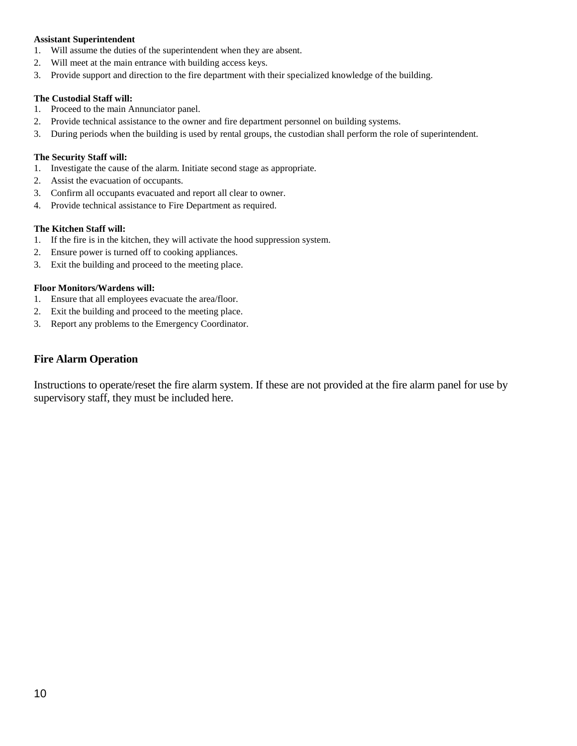#### **Assistant Superintendent**

- 1. Will assume the duties of the superintendent when they are absent.
- 2. Will meet at the main entrance with building access keys.
- 3. Provide support and direction to the fire department with their specialized knowledge of the building.

## **The Custodial Staff will:**

- 1. Proceed to the main Annunciator panel.
- 2. Provide technical assistance to the owner and fire department personnel on building systems.
- 3. During periods when the building is used by rental groups, the custodian shall perform the role of superintendent.

## **The Security Staff will:**

- 1. Investigate the cause of the alarm. Initiate second stage as appropriate.
- 2. Assist the evacuation of occupants.
- 3. Confirm all occupants evacuated and report all clear to owner.
- 4. Provide technical assistance to Fire Department as required.

## **The Kitchen Staff will:**

- 1. If the fire is in the kitchen, they will activate the hood suppression system.
- 2. Ensure power is turned off to cooking appliances.
- 3. Exit the building and proceed to the meeting place.

## **Floor Monitors/Wardens will:**

- 1. Ensure that all employees evacuate the area/floor.
- 2. Exit the building and proceed to the meeting place.
- 3. Report any problems to the Emergency Coordinator.

# <span id="page-9-0"></span> **Fire Alarm Operation**

 Instructions to operate/reset the fire alarm system. If these are not provided at the fire alarm panel for use by supervisory staff, they must be included here.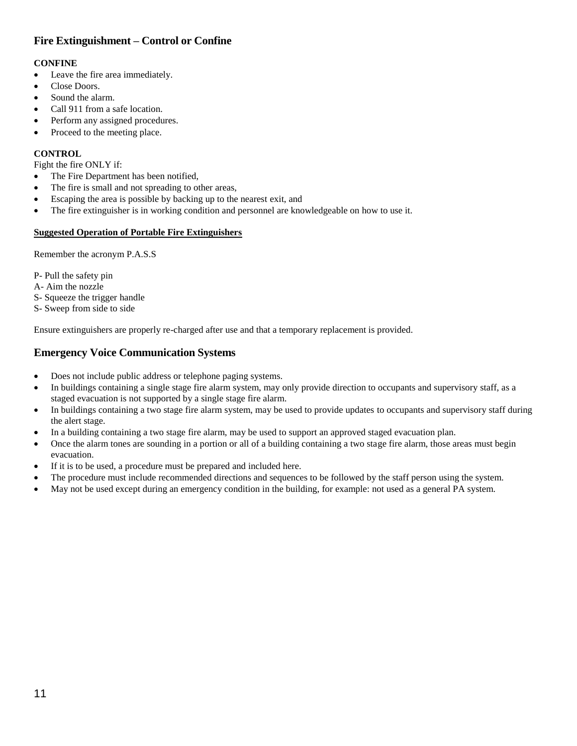## <span id="page-10-0"></span> **Fire Extinguishment – Control or Confine**

## **CONFINE**

- Leave the fire area immediately.
- Close Doors.
- Sound the alarm.
- Call 911 from a safe location.
- Perform any assigned procedures.
- Proceed to the meeting place.

## **CONTROL**

Fight the fire ONLY if:

- The Fire Department has been notified,
- The fire is small and not spreading to other areas,
- Escaping the area is possible by backing up to the nearest exit, and
- The fire extinguisher is in working condition and personnel are knowledgeable on how to use it.

#### **Suggested Operation of Portable Fire Extinguishers**

Remember the acronym P.A.S.S

- P- Pull the safety pin
- A- Aim the nozzle
- S- Squeeze the trigger handle
- S- Sweep from side to side

Ensure extinguishers are properly re-charged after use and that a temporary replacement is provided.

## <span id="page-10-1"></span> **Emergency Voice Communication Systems**

- Does not include public address or telephone paging systems.
- In buildings containing a single stage fire alarm system, may only provide direction to occupants and supervisory staff, as a staged evacuation is not supported by a single stage fire alarm.
- In buildings containing a two stage fire alarm system, may be used to provide updates to occupants and supervisory staff during the alert stage.
- In a building containing a two stage fire alarm, may be used to support an approved staged evacuation plan.
- Once the alarm tones are sounding in a portion or all of a building containing a two stage fire alarm, those areas must begin evacuation.
- If it is to be used, a procedure must be prepared and included here.
- The procedure must include recommended directions and sequences to be followed by the staff person using the system.
- May not be used except during an emergency condition in the building, for example: not used as a general PA system.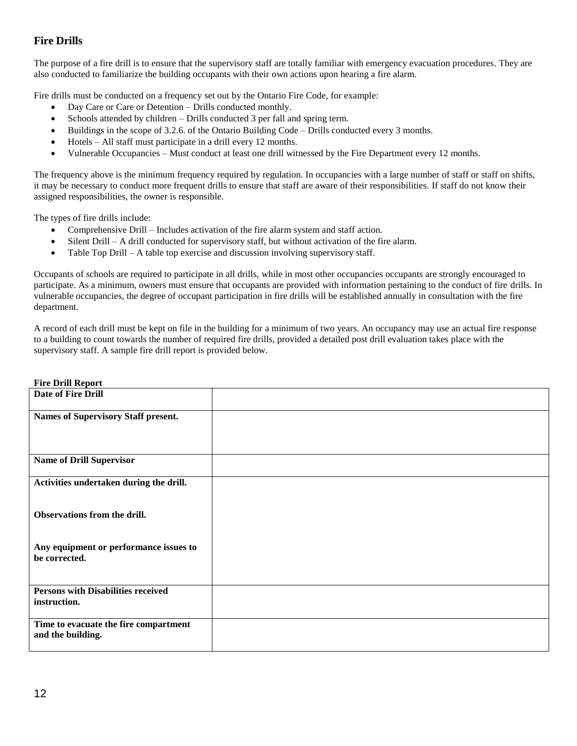## <span id="page-11-0"></span> **Fire Drills**

 The purpose of a fire drill is to ensure that the supervisory staff are totally familiar with emergency evacuation procedures. They are also conducted to familiarize the building occupants with their own actions upon hearing a fire alarm.

Fire drills must be conducted on a frequency set out by the Ontario Fire Code, for example:

- Day Care or Care or Detention Drills conducted monthly.
- Schools attended by children Drills conducted 3 per fall and spring term.
- Buildings in the scope of 3.2.6. of the Ontario Building Code Drills conducted every 3 months.
- Hotels All staff must participate in a drill every 12 months.
- Vulnerable Occupancies Must conduct at least one drill witnessed by the Fire Department every 12 months.

 The frequency above is the minimum frequency required by regulation. In occupancies with a large number of staff or staff on shifts, it may be necessary to conduct more frequent drills to ensure that staff are aware of their responsibilities. If staff do not know their assigned responsibilities, the owner is responsible.

The types of fire drills include:

- Comprehensive Drill Includes activation of the fire alarm system and staff action.
- Silent Drill A drill conducted for supervisory staff, but without activation of the fire alarm.
- Table Top Drill A table top exercise and discussion involving supervisory staff.

 Occupants of schools are required to participate in all drills, while in most other occupancies occupants are strongly encouraged to participate. As a minimum, owners must ensure that occupants are provided with information pertaining to the conduct of fire drills. In vulnerable occupancies, the degree of occupant participation in fire drills will be established annually in consultation with the fire department.

 A record of each drill must be kept on file in the building for a minimum of two years. An occupancy may use an actual fire response to a building to count towards the number of required fire drills, provided a detailed post drill evaluation takes place with the supervisory staff. A sample fire drill report is provided below.

| <b>Fire Drill Report</b>                                   |  |
|------------------------------------------------------------|--|
| <b>Date of Fire Drill</b>                                  |  |
| Names of Supervisory Staff present.                        |  |
| <b>Name of Drill Supervisor</b>                            |  |
| Activities undertaken during the drill.                    |  |
| Observations from the drill.                               |  |
| Any equipment or performance issues to<br>be corrected.    |  |
| <b>Persons with Disabilities received</b>                  |  |
| instruction.                                               |  |
| Time to evacuate the fire compartment<br>and the building. |  |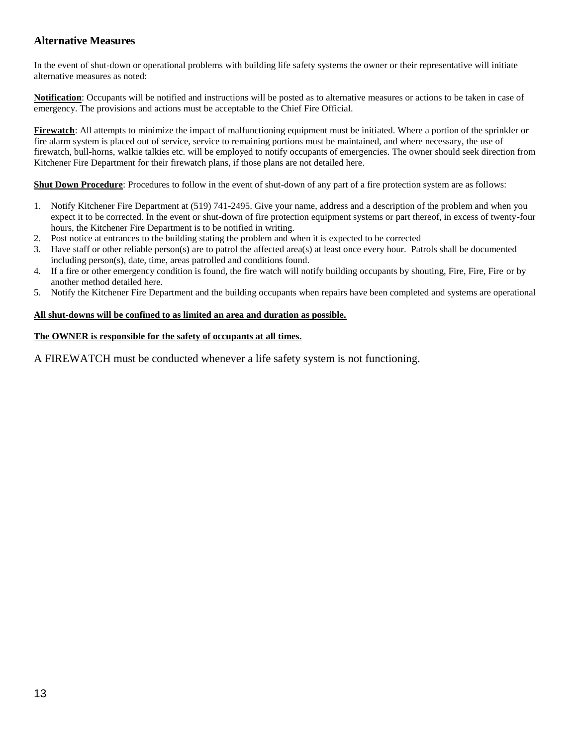## <span id="page-12-0"></span> **Alternative Measures**

 In the event of shut-down or operational problems with building life safety systems the owner or their representative will initiate alternative measures as noted:

 **Notification**: Occupants will be notified and instructions will be posted as to alternative measures or actions to be taken in case of emergency. The provisions and actions must be acceptable to the Chief Fire Official.

 **Firewatch**: All attempts to minimize the impact of malfunctioning equipment must be initiated. Where a portion of the sprinkler or fire alarm system is placed out of service, service to remaining portions must be maintained, and where necessary, the use of firewatch, bull-horns, walkie talkies etc. will be employed to notify occupants of emergencies. The owner should seek direction from Kitchener Fire Department for their firewatch plans, if those plans are not detailed here.

**Shut Down Procedure**: Procedures to follow in the event of shut-down of any part of a fire protection system are as follows:

- 1. Notify Kitchener Fire Department at (519) 741-2495. Give your name, address and a description of the problem and when you expect it to be corrected. In the event or shut-down of fire protection equipment systems or part thereof, in excess of twenty-four hours, the Kitchener Fire Department is to be notified in writing.
- 2. Post notice at entrances to the building stating the problem and when it is expected to be corrected
- 3. Have staff or other reliable person(s) are to patrol the affected area(s) at least once every hour. Patrols shall be documented including person(s), date, time, areas patrolled and conditions found.
- 4. If a fire or other emergency condition is found, the fire watch will notify building occupants by shouting, Fire, Fire, Fire or by another method detailed here.
- 5. Notify the Kitchener Fire Department and the building occupants when repairs have been completed and systems are operational

#### **All shut-downs will be confined to as limited an area and duration as possible.**

#### **The OWNER is responsible for the safety of occupants at all times.**

A FIREWATCH must be conducted whenever a life safety system is not functioning.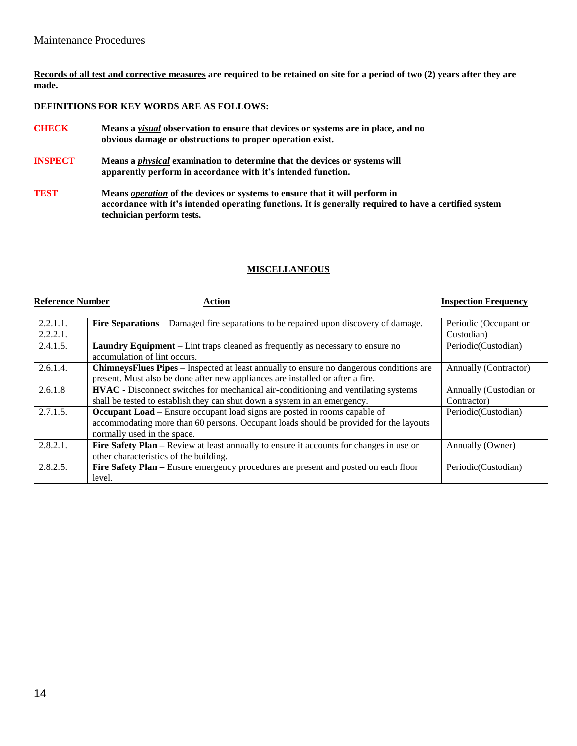**Records of all test and corrective measures are required to be retained on site for a period of two (2) years after they are made.** 

#### **DEFINITIONS FOR KEY WORDS ARE AS FOLLOWS:**

- **CHECK obvious damage or obstructions to proper operation exist. CHECK Means a** *visual* **observation to ensure that devices or systems are in place, and no**
- **INSPECT apparently perform in accordance with it's intended function.** Means a *physical* examination to determine that the devices or systems will
- **TEST accordance with it's intended operating functions. It is generally required to have a certified system technician perform tests. TEST Means** *operation* **of the devices or systems to ensure that it will perform in**

#### **MISCELLANEOUS**

#### **Reference Number**

#### **Reference Number Action Inspection Frequency**

| 2.2.1.1.    | <b>Fire Separations</b> – Damaged fire separations to be repaired upon discovery of damage.    | Periodic (Occupant or  |
|-------------|------------------------------------------------------------------------------------------------|------------------------|
| 2.2.2.1.    |                                                                                                | Custodian)             |
| 2.4.1.5.    | <b>Laundry Equipment</b> – Lint traps cleaned as frequently as necessary to ensure no          | Periodic (Custodian)   |
|             | accumulation of lint occurs.                                                                   |                        |
| 2.6.1.4.    | <b>ChinneysFlues Pipes</b> – Inspected at least annually to ensure no dangerous conditions are | Annually (Contractor)  |
|             | present. Must also be done after new appliances are installed or after a fire.                 |                        |
| 2.6.1.8     | HVAC - Disconnect switches for mechanical air-conditioning and ventilating systems             | Annually (Custodian or |
|             | shall be tested to establish they can shut down a system in an emergency.                      | Contractor)            |
| 2.7.1.5.    | <b>Occupant Load</b> – Ensure occupant load signs are posted in rooms capable of               | Periodic(Custodian)    |
|             | accommodating more than 60 persons. Occupant loads should be provided for the layouts          |                        |
|             | normally used in the space.                                                                    |                        |
| $2.8.2.1$ . | Fire Safety Plan – Review at least annually to ensure it accounts for changes in use or        | Annually (Owner)       |
|             | other characteristics of the building.                                                         |                        |
| 2.8.2.5.    | Fire Safety Plan – Ensure emergency procedures are present and posted on each floor            | Periodic (Custodian)   |
|             | level.                                                                                         |                        |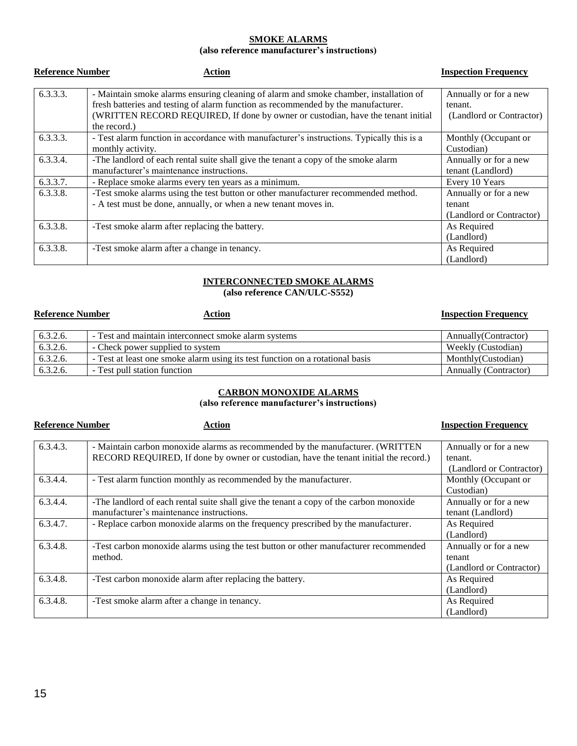#### **SMOKE ALARMS**

#### **(also reference manufacturer's instructions)**

| <b>Reference Number</b> | <b>Action</b>                                                                                                                                                                                                                                                                  | <b>Inspection Frequency</b>                                  |
|-------------------------|--------------------------------------------------------------------------------------------------------------------------------------------------------------------------------------------------------------------------------------------------------------------------------|--------------------------------------------------------------|
| 6.3.3.3.                | - Maintain smoke alarms ensuring cleaning of alarm and smoke chamber, installation of<br>fresh batteries and testing of alarm function as recommended by the manufacturer.<br>(WRITTEN RECORD REQUIRED, If done by owner or custodian, have the tenant initial<br>the record.) | Annually or for a new<br>tenant.<br>(Landlord or Contractor) |
| 6.3.3.3.                | - Test alarm function in accordance with manufacturer's instructions. Typically this is a<br>monthly activity.                                                                                                                                                                 | Monthly (Occupant or<br>Custodian)                           |
| 6.3.3.4.                | -The landlord of each rental suite shall give the tenant a copy of the smoke alarm<br>manufacturer's maintenance instructions.                                                                                                                                                 | Annually or for a new<br>tenant (Landlord)                   |
| 6.3.3.7.                | - Replace smoke alarms every ten years as a minimum.                                                                                                                                                                                                                           | Every 10 Years                                               |
| 6.3.3.8.                | -Test smoke alarms using the test button or other manufacturer recommended method.<br>- A test must be done, annually, or when a new tenant moves in.                                                                                                                          | Annually or for a new<br>tenant<br>(Landlord or Contractor)  |
| 6.3.3.8.                | -Test smoke alarm after replacing the battery.                                                                                                                                                                                                                                 | As Required<br>(Landlord)                                    |
| 6.3.3.8.                | -Test smoke alarm after a change in tenancy.                                                                                                                                                                                                                                   | As Required<br>(Landlord)                                    |

#### **INTERCONNECTED SMOKE ALARMS (also reference CAN/ULC-S552)**

| <b>Reference Number</b> | <b>Action</b>                                                                 | <b>Inspection Frequency</b> |
|-------------------------|-------------------------------------------------------------------------------|-----------------------------|
| 6.3.2.6.                | - Test and maintain interconnect smoke alarm systems                          | Annually (Contractor)       |
| 6.3.2.6.                | - Check power supplied to system                                              | Weekly (Custodian)          |
| 6.3.2.6.                | - Test at least one smoke alarm using its test function on a rotational basis | Monthly (Custodian)         |
| 6.3.2.6.                | - Test pull station function                                                  | Annually (Contractor)       |

#### **CARBON MONOXIDE ALARMS**

#### **(also reference manufacturer's instructions)**

| <b>Reference Number</b> | Action                                                                                 | <b>Inspection Frequency</b> |
|-------------------------|----------------------------------------------------------------------------------------|-----------------------------|
| 6.3.4.3.                | - Maintain carbon monoxide alarms as recommended by the manufacturer. (WRITTEN         | Annually or for a new       |
|                         | RECORD REQUIRED, If done by owner or custodian, have the tenant initial the record.)   | tenant.                     |
|                         |                                                                                        | (Landlord or Contractor)    |
| 6.3.4.4.                | - Test alarm function monthly as recommended by the manufacturer.                      | Monthly (Occupant or        |
|                         |                                                                                        | Custodian)                  |
| 6.3.4.4.                | -The landlord of each rental suite shall give the tenant a copy of the carbon monoxide | Annually or for a new       |
|                         | manufacturer's maintenance instructions.                                               | tenant (Landlord)           |
| 6.3.4.7.                | - Replace carbon monoxide alarms on the frequency prescribed by the manufacturer.      | As Required                 |
|                         |                                                                                        | (Landlord)                  |
| 6.3.4.8.                | -Test carbon monoxide alarms using the test button or other manufacturer recommended   | Annually or for a new       |
|                         | method.                                                                                | tenant                      |
|                         |                                                                                        | (Landlord or Contractor)    |
| 6.3.4.8.                | -Test carbon monoxide alarm after replacing the battery.                               | As Required                 |
|                         |                                                                                        | (Landlord)                  |
| 6.3.4.8.                | -Test smoke alarm after a change in tenancy.                                           | As Required                 |
|                         |                                                                                        | (Landlord)                  |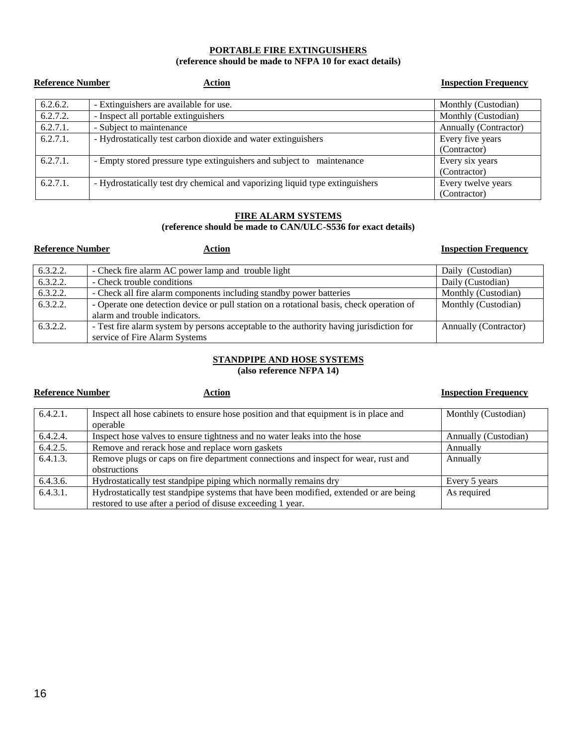#### **PORTABLE FIRE EXTINGUISHERS (reference should be made to NFPA 10 for exact details)**

| <b>Reference Number</b> | Action                                                                       | <b>Inspection Frequency</b> |
|-------------------------|------------------------------------------------------------------------------|-----------------------------|
| 6.2.6.2.                | - Extinguishers are available for use.                                       | Monthly (Custodian)         |
| 6.2.7.2.                | - Inspect all portable extinguishers                                         | Monthly (Custodian)         |
| 6.2.7.1.                | - Subject to maintenance                                                     | Annually (Contractor)       |
| 6.2.7.1.                | - Hydrostatically test carbon dioxide and water extinguishers                | Every five years            |
|                         |                                                                              | (Contractor)                |
| 6.2.7.1.                | - Empty stored pressure type extinguishers and subject to maintenance        | Every six years             |
|                         |                                                                              | (Contractor)                |
| 6.2.7.1.                | - Hydrostatically test dry chemical and vaporizing liquid type extinguishers | Every twelve years          |
|                         |                                                                              | (Contractor)                |

## **FIRE ALARM SYSTEMS**

#### **(reference should be made to CAN/ULC-S536 for exact details)**

#### **Reference Number**

## **Action Action Requency Exercise 2.1 <b>C Exercise 2.1 C Exercise 2.1 <b>C Exercise 2.1 C Exercise 2.1 C Exercise 2.1 C EXERCISE 2.1 C EXERCISE 2.1 C EXERCISE 2.1 C EXERCISE 2.1 C EXER**

| 6.3.2.2. | - Check fire alarm AC power lamp and trouble light                                       | Daily (Custodian)     |
|----------|------------------------------------------------------------------------------------------|-----------------------|
| 6.3.2.2. | - Check trouble conditions                                                               | Daily (Custodian)     |
| 6.3.2.2. | - Check all fire alarm components including standby power batteries                      | Monthly (Custodian)   |
| 6.3.2.2. | - Operate one detection device or pull station on a rotational basis, check operation of | Monthly (Custodian)   |
|          | alarm and trouble indicators.                                                            |                       |
| 6.3.2.2. | - Test fire alarm system by persons acceptable to the authority having jurisdiction for  | Annually (Contractor) |
|          | service of Fire Alarm Systems                                                            |                       |

#### **STANDPIPE AND HOSE SYSTEMS (also reference NFPA 14)**

## **<u>Action</u> Example 2 Inspection Frequency Example 2 Inspection Frequency**

| $6.4.2.1$ . | Inspect all hose cabinets to ensure hose position and that equipment is in place and<br>operable | Monthly (Custodian)  |
|-------------|--------------------------------------------------------------------------------------------------|----------------------|
| 6.4.2.4.    | Inspect hose valves to ensure tightness and no water leaks into the hose                         | Annually (Custodian) |
| 6.4.2.5.    | Remove and rerack hose and replace worn gaskets                                                  | Annually             |
| 6.4.1.3.    | Remove plugs or caps on fire department connections and inspect for wear, rust and               | Annually             |
|             | obstructions                                                                                     |                      |
| 6.4.3.6.    | Hydrostatically test standpipe piping which normally remains dry                                 | Every 5 years        |
| 6.4.3.1.    | Hydrostatically test standpipe systems that have been modified, extended or are being            | As required          |
|             | restored to use after a period of disuse exceeding 1 year.                                       |                      |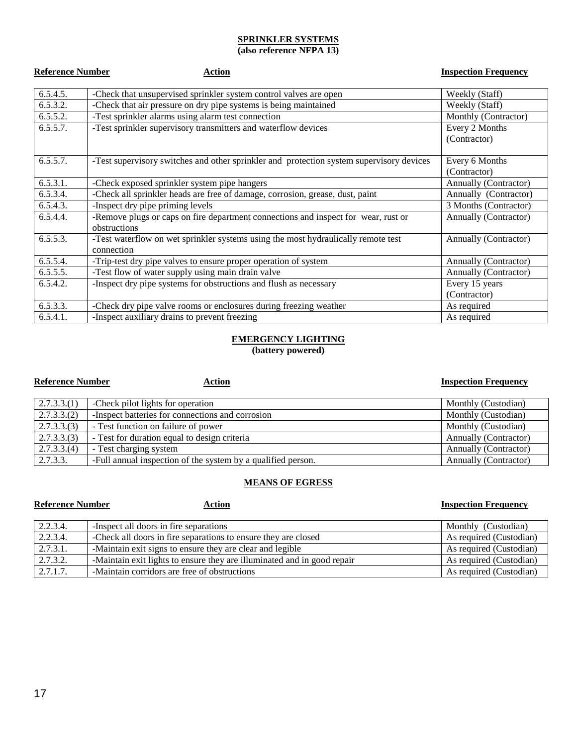## **SPRINKLER SYSTEMS**

#### **(also reference NFPA 13)**

| <b>Reference Number</b> | Action                                                                                             | <b>Inspection Frequency</b>    |
|-------------------------|----------------------------------------------------------------------------------------------------|--------------------------------|
| 6.5.4.5.                | -Check that unsupervised sprinkler system control valves are open                                  | Weekly (Staff)                 |
| 6.5.3.2.                | -Check that air pressure on dry pipe systems is being maintained                                   | Weekly (Staff)                 |
| 6.5.5.2.                | -Test sprinkler alarms using alarm test connection                                                 | Monthly (Contractor)           |
| 6.5.5.7.                | -Test sprinkler supervisory transmitters and waterflow devices                                     | Every 2 Months<br>(Contractor) |
| 6.5.5.7.                | -Test supervisory switches and other sprinkler and protection system supervisory devices           | Every 6 Months<br>(Contractor) |
| 6.5.3.1.                | -Check exposed sprinkler system pipe hangers                                                       | Annually (Contractor)          |
| 6.5.3.4.                | -Check all sprinkler heads are free of damage, corrosion, grease, dust, paint                      | Annually (Contractor)          |
| 6.5.4.3.                | -Inspect dry pipe priming levels                                                                   | 3 Months (Contractor)          |
| 6.5.4.4.                | -Remove plugs or caps on fire department connections and inspect for wear, rust or<br>obstructions | Annually (Contractor)          |
| 6.5.5.3.                | -Test waterflow on wet sprinkler systems using the most hydraulically remote test<br>connection    | Annually (Contractor)          |
| 6.5.5.4.                | -Trip-test dry pipe valves to ensure proper operation of system                                    | Annually (Contractor)          |
| 6.5.5.5.                | -Test flow of water supply using main drain valve                                                  | Annually (Contractor)          |
| 6.5.4.2.                | -Inspect dry pipe systems for obstructions and flush as necessary                                  | Every 15 years<br>(Contractor) |
| 6.5.3.3.                | -Check dry pipe valve rooms or enclosures during freezing weather                                  | As required                    |
| 6.5.4.1.                | -Inspect auxiliary drains to prevent freezing                                                      | As required                    |

## **EMERGENCY LIGHTING**

**(battery powered)** 

#### **Reference Number**

#### **<u>Action</u> Example 2 Inspection Frequency Inspection Frequency**

| 2.7.3.3(1) | -Check pilot lights for operation                            | Monthly (Custodian)          |
|------------|--------------------------------------------------------------|------------------------------|
| 2.7.3.3(2) | -Inspect batteries for connections and corrosion             | Monthly (Custodian)          |
| 2.7.3.3(3) | - Test function on failure of power                          | Monthly (Custodian)          |
| 2.7.3.3(3) | - Test for duration equal to design criteria                 | <b>Annually (Contractor)</b> |
| 2.7.3.3(4) | - Test charging system                                       | <b>Annually (Contractor)</b> |
| 2.7.3.3.   | -Full annual inspection of the system by a qualified person. | Annually (Contractor)        |

#### **MEANS OF EGRESS**

| <b>Reference Number</b> | Action                                                                  | <b>Inspection Frequency</b> |
|-------------------------|-------------------------------------------------------------------------|-----------------------------|
| 2.2.3.4.                | -Inspect all doors in fire separations                                  | Monthly (Custodian)         |
| 2.2.3.4.                | -Check all doors in fire separations to ensure they are closed          | As required (Custodian)     |
| 2.7.3.1.                | -Maintain exit signs to ensure they are clear and legible               | As required (Custodian)     |
| 2.7.3.2.                | -Maintain exit lights to ensure they are illuminated and in good repair | As required (Custodian)     |
| 2.7.1.7.                | -Maintain corridors are free of obstructions                            | As required (Custodian)     |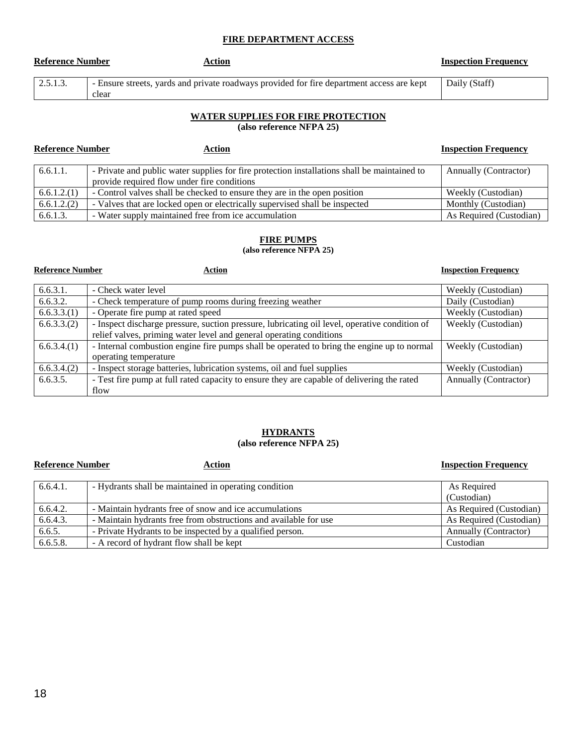#### **FIRE DEPARTMENT ACCESS**

| <b>Reference Number</b> | Action                                                                                             | <b>Inspection Frequency</b> |
|-------------------------|----------------------------------------------------------------------------------------------------|-----------------------------|
| 2.5.1.3.                | - Ensure streets, yards and private roadways provided for fire department access are kept<br>clear | Daily (Staff)               |

## **WATER SUPPLIES FOR FIRE PROTECTION**

 **(also reference NFPA 25)** 

| <b>Reference Number</b> | Action                                                                                       | <b>Inspection Frequency</b> |
|-------------------------|----------------------------------------------------------------------------------------------|-----------------------------|
| 6.6.1.1.                | - Private and public water supplies for fire protection installations shall be maintained to | Annually (Contractor)       |
|                         | provide required flow under fire conditions                                                  |                             |
| 6.6.1.2(1)              | - Control valves shall be checked to ensure they are in the open position                    | Weekly (Custodian)          |
| 6.6.1.2(2)              | - Valves that are locked open or electrically supervised shall be inspected                  | Monthly (Custodian)         |
| 6.6.1.3.                | - Water supply maintained free from ice accumulation                                         | As Required (Custodian)     |

#### **FIRE PUMPS**

**(also reference NFPA 25)** 

| <b>Reference Number</b> | <b>Action</b>                                                                                                       | <b>Inspection Frequency</b> |
|-------------------------|---------------------------------------------------------------------------------------------------------------------|-----------------------------|
| 6.6.3.1.                | - Check water level                                                                                                 | Weekly (Custodian)          |
| 6.6.3.2.                | - Check temperature of pump rooms during freezing weather                                                           | Daily (Custodian)           |
| 6.6.3.3(1)              | - Operate fire pump at rated speed                                                                                  | Weekly (Custodian)          |
| 6.6.3.3(2)              | - Inspect discharge pressure, suction pressure, lubricating oil level, operative condition of                       | Weekly (Custodian)          |
|                         | relief valves, priming water level and general operating conditions                                                 |                             |
| 6.6.3.4(1)              | - Internal combustion engine fire pumps shall be operated to bring the engine up to normal<br>operating temperature | Weekly (Custodian)          |
| 6.6.3.4(2)              | - Inspect storage batteries, lubrication systems, oil and fuel supplies                                             | Weekly (Custodian)          |
| 6.6.3.5.                | - Test fire pump at full rated capacity to ensure they are capable of delivering the rated                          | Annually (Contractor)       |
|                         | flow                                                                                                                |                             |

#### **(also reference NFPA 25) HYDRANTS**

| <b>Reference Number</b><br>Action |                                                                  | <b>Inspection Frequency</b> |
|-----------------------------------|------------------------------------------------------------------|-----------------------------|
| 6.6.4.1.                          | - Hydrants shall be maintained in operating condition            | As Required                 |
|                                   |                                                                  | (Custodian)                 |
| 6.6.4.2.                          | - Maintain hydrants free of snow and ice accumulations           | As Required (Custodian)     |
| 6.6.4.3.                          | - Maintain hydrants free from obstructions and available for use | As Required (Custodian)     |
| 6.6.5.                            | - Private Hydrants to be inspected by a qualified person.        | Annually (Contractor)       |
| 6.6.5.8.                          | - A record of hydrant flow shall be kept                         | Custodian                   |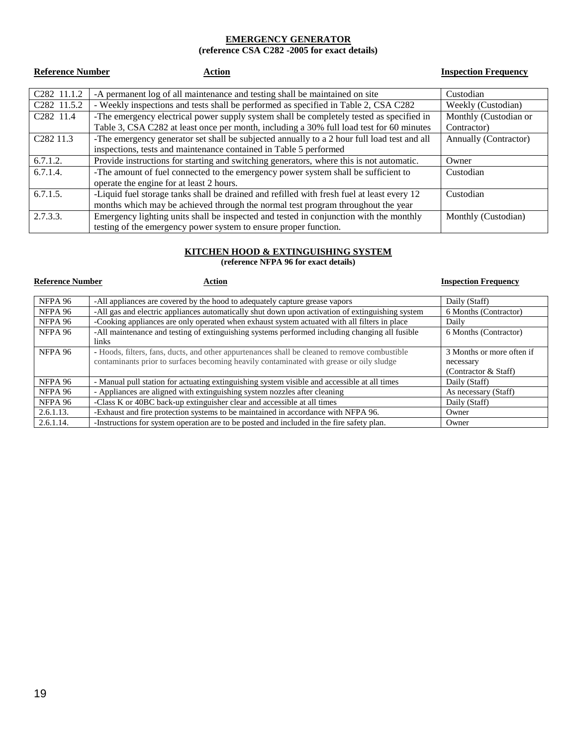## **EMERGENCY GENERATOR**

 **(reference CSA C282 -2005 for exact details)** 

| <b>Reference Number</b><br>Action |                                                                                             | <b>Inspection Frequency</b> |
|-----------------------------------|---------------------------------------------------------------------------------------------|-----------------------------|
|                                   |                                                                                             |                             |
| C282 11.1.2                       | -A permanent log of all maintenance and testing shall be maintained on site                 | Custodian                   |
| C <sub>2</sub> 82 11.5.2          | - Weekly inspections and tests shall be performed as specified in Table 2, CSA C282         | Weekly (Custodian)          |
| C <sub>2</sub> 82 11.4            | -The emergency electrical power supply system shall be completely tested as specified in    | Monthly (Custodian or       |
|                                   | Table 3, CSA C282 at least once per month, including a 30% full load test for 60 minutes    | Contractor)                 |
| C <sub>282</sub> 11.3             | -The emergency generator set shall be subjected annually to a 2 hour full load test and all | Annually (Contractor)       |
|                                   | inspections, tests and maintenance contained in Table 5 performed                           |                             |
| 6.7.1.2.                          | Provide instructions for starting and switching generators, where this is not automatic.    | Owner                       |
| 6.7.1.4.                          | -The amount of fuel connected to the emergency power system shall be sufficient to          | Custodian                   |
|                                   | operate the engine for at least 2 hours.                                                    |                             |
| 6.7.1.5.                          | -Liquid fuel storage tanks shall be drained and refilled with fresh fuel at least every 12  | Custodian                   |
|                                   | months which may be achieved through the normal test program throughout the year            |                             |
| 2.7.3.3.                          | Emergency lighting units shall be inspected and tested in conjunction with the monthly      | Monthly (Custodian)         |
|                                   | testing of the emergency power system to ensure proper function.                            |                             |

#### **KITCHEN HOOD & EXTINGUISHING SYSTEM**

 **(reference NFPA 96 for exact details)** 

| <b>Reference Number</b> | Action                                                                                                                                                                                   | <b>Inspection Frequency</b>                                    |
|-------------------------|------------------------------------------------------------------------------------------------------------------------------------------------------------------------------------------|----------------------------------------------------------------|
| NFPA 96                 | -All appliances are covered by the hood to adequately capture grease vapors                                                                                                              | Daily (Staff)                                                  |
| NFPA 96                 | -All gas and electric appliances automatically shut down upon activation of extinguishing system                                                                                         | 6 Months (Contractor)                                          |
| NFPA 96                 | -Cooking appliances are only operated when exhaust system actuated with all filters in place                                                                                             | Daily                                                          |
| NFPA 96                 | -All maintenance and testing of extinguishing systems performed including changing all fusible<br>links                                                                                  | 6 Months (Contractor)                                          |
| NFPA 96                 | - Hoods, filters, fans, ducts, and other appurtenances shall be cleaned to remove combustible<br>contaminants prior to surfaces becoming heavily contaminated with grease or oily sludge | 3 Months or more often if<br>necessary<br>(Contractor & Staff) |
| NFPA 96                 | - Manual pull station for actuating extinguishing system visible and accessible at all times                                                                                             | Daily (Staff)                                                  |
| NFPA 96                 | - Appliances are aligned with extinguishing system nozzles after cleaning                                                                                                                | As necessary (Staff)                                           |
| NFPA 96                 | -Class K or 40BC back-up extinguisher clear and accessible at all times                                                                                                                  | Daily (Staff)                                                  |
| 2.6.1.13.               | -Exhaust and fire protection systems to be maintained in accordance with NFPA 96.                                                                                                        | Owner                                                          |
| 2.6.1.14.               | -Instructions for system operation are to be posted and included in the fire safety plan.                                                                                                | Owner                                                          |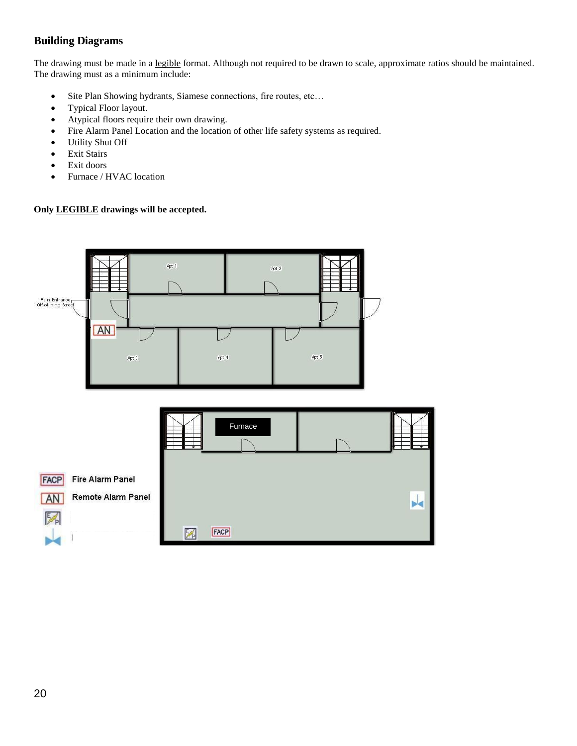## <span id="page-19-0"></span>**Building Diagrams**

The drawing must be made in a legible format. Although not required to be drawn to scale, approximate ratios should be maintained. The drawing must as a minimum include:

- Site Plan Showing hydrants, Siamese connections, fire routes, etc…
- Typical Floor layout.
- Atypical floors require their own drawing.
- Fire Alarm Panel Location and the location of other life safety systems as required.
- Utility Shut Off
- **•** Exit Stairs
- Exit doors
- Furnace / HVAC location

#### **Only LEGIBLE drawings will be accepted.**